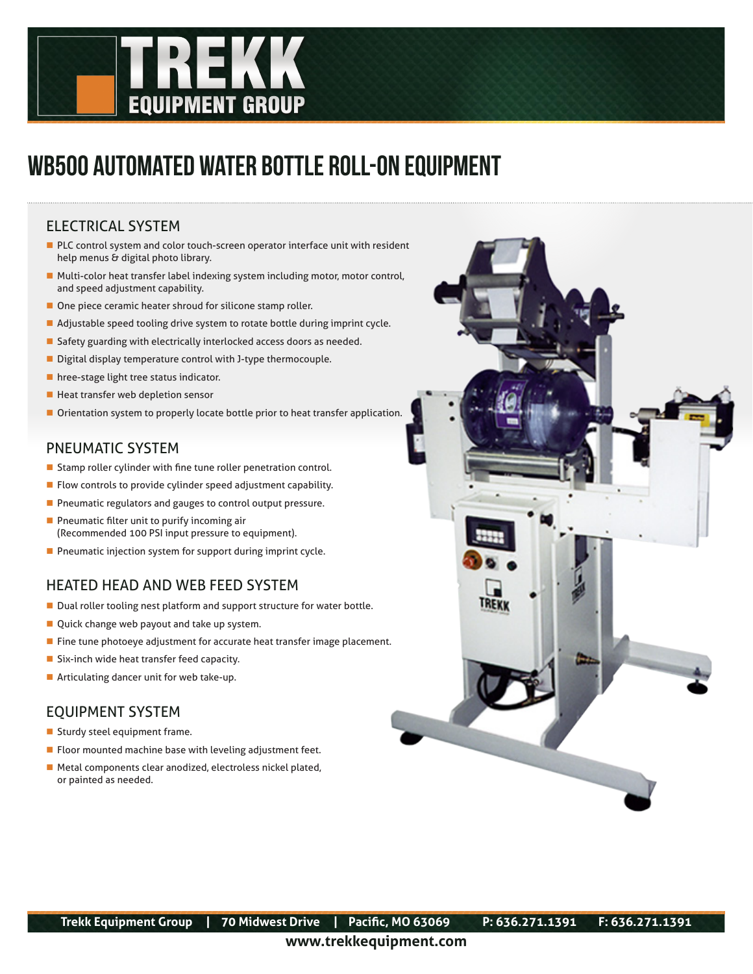

# WB500 AUTOMATED WATER BOTTLE ROLL-ON EQUIPMENT

### ELECTRICAL SYSTEM

- PLC control system and color touch-screen operator interface unit with resident help menus  $\acute{\mathrm{e}}$  digital photo library.
- Multi-color heat transfer label indexing system including motor, motor control, and speed adjustment capability.
- One piece ceramic heater shroud for silicone stamp roller.
- Adjustable speed tooling drive system to rotate bottle during imprint cycle.
- Safety guarding with electrically interlocked access doors as needed.
- Digital display temperature control with J-type thermocouple.
- **hree-stage light tree status indicator.**
- Heat transfer web depletion sensor
- Orientation system to properly locate bottle prior to heat transfer application.

#### PNEUMATIC SYSTEM

- Stamp roller cylinder with fine tune roller penetration control.
- **Filow controls to provide cylinder speed adjustment capability.**
- **Pheumatic regulators and gauges to control output pressure.**
- **Pheumatic filter unit to purify incoming air** (Recommended 100 PSI input pressure to equipment).
- **Pheumatic injection system for support during imprint cycle.**

## HEATED HEAD AND WEB FEED SYSTEM

- Dual roller tooling nest platform and support structure for water bottle.
- Quick change web payout and take up system.
- **Fine tune photoeye adjustment for accurate heat transfer image placement.**
- Six-inch wide heat transfer feed capacity.
- **Articulating dancer unit for web take-up.**

## EQUIPMENT SYSTEM

- Sturdy steel equipment frame.
- **FIOOT** mounted machine base with leveling adjustment feet.
- Metal components clear anodized, electroless nickel plated, or painted as needed.